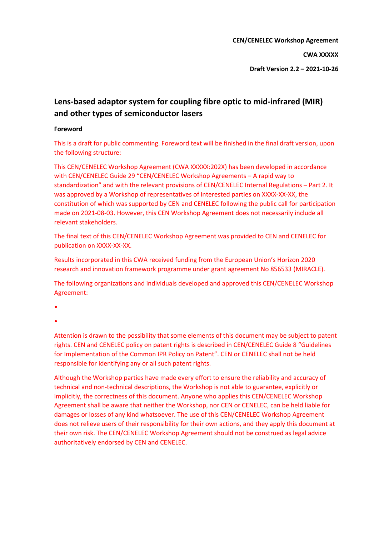**CEN/CENELEC Workshop Agreement**

**CWA XXXXX**

**Draft Version 2.2 – 2021-10-26**

# **Lens-based adaptor system for coupling fibre optic to mid-infrared (MIR) and other types of semiconductor lasers**

#### **Foreword**

This is a draft for public commenting. Foreword text will be finished in the final draft version, upon the following structure:

This CEN/CENELEC Workshop Agreement (CWA XXXXX:202X) has been developed in accordance with CEN/CENELEC Guide 29 "CEN/CENELEC Workshop Agreements – A rapid way to standardization" and with the relevant provisions of CEN/CENELEC Internal Regulations – Part 2. It was approved by a Workshop of representatives of interested parties on XXXX-XX-XX, the constitution of which was supported by CEN and CENELEC following the public call for participation made on 2021-08-03. However, this CEN Workshop Agreement does not necessarily include all relevant stakeholders.

The final text of this CEN/CENELEC Workshop Agreement was provided to CEN and CENELEC for publication on XXXX-XX-XX.

Results incorporated in this CWA received funding from the European Union's Horizon 2020 research and innovation framework programme under grant agreement No 856533 (MIRACLE).

The following organizations and individuals developed and approved this CEN/CENELEC Workshop Agreement:

•

•

Attention is drawn to the possibility that some elements of this document may be subject to patent rights. CEN and CENELEC policy on patent rights is described in CEN/CENELEC Guide 8 "Guidelines for Implementation of the Common IPR Policy on Patent". CEN or CENELEC shall not be held responsible for identifying any or all such patent rights.

Although the Workshop parties have made every effort to ensure the reliability and accuracy of technical and non-technical descriptions, the Workshop is not able to guarantee, explicitly or implicitly, the correctness of this document. Anyone who applies this CEN/CENELEC Workshop Agreement shall be aware that neither the Workshop, nor CEN or CENELEC, can be held liable for damages or losses of any kind whatsoever. The use of this CEN/CENELEC Workshop Agreement does not relieve users of their responsibility for their own actions, and they apply this document at their own risk. The CEN/CENELEC Workshop Agreement should not be construed as legal advice authoritatively endorsed by CEN and CENELEC.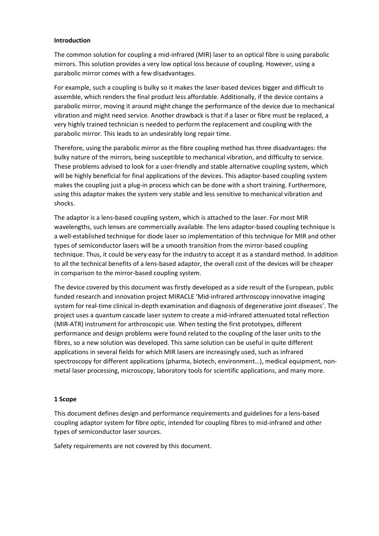#### **Introduction**

The common solution for coupling a mid-infrared (MIR) laser to an optical fibre is using parabolic mirrors. This solution provides a very low optical loss because of coupling. However, using a parabolic mirror comes with a few disadvantages.

For example, such a coupling is bulky so it makes the laser-based devices bigger and difficult to assemble, which renders the final product less affordable. Additionally, if the device contains a parabolic mirror, moving it around might change the performance of the device due to mechanical vibration and might need service. Another drawback is that if a laser or fibre must be replaced, a very highly trained technician is needed to perform the replacement and coupling with the parabolic mirror. This leads to an undesirably long repair time.

Therefore, using the parabolic mirror as the fibre coupling method has three disadvantages: the bulky nature of the mirrors, being susceptible to mechanical vibration, and difficulty to service. These problems advised to look for a user-friendly and stable alternative coupling system, which will be highly beneficial for final applications of the devices. This adaptor-based coupling system makes the coupling just a plug-in process which can be done with a short training. Furthermore, using this adaptor makes the system very stable and less sensitive to mechanical vibration and shocks.

The adaptor is a lens-based coupling system, which is attached to the laser. For most MIR wavelengths, such lenses are commercially available. The lens adaptor-based coupling technique is a well-established technique for diode laser so implementation of this technique for MIR and other types of semiconductor lasers will be a smooth transition from the mirror-based coupling technique. Thus, it could be very easy for the industry to accept it as a standard method. In addition to all the technical benefits of a lens-based adaptor, the overall cost of the devices will be cheaper in comparison to the mirror-based coupling system.

The device covered by this document was firstly developed as a side result of the European, public funded research and innovation project MIRACLE 'Mid-infrared arthroscopy innovative imaging system for real-time clinical in-depth examination and diagnosis of degenerative joint diseases'. The project uses a quantum cascade laser system to create a mid-infrared attenuated total reflection (MIR-ATR) instrument for arthroscopic use. When testing the first prototypes, different performance and design problems were found related to the coupling of the laser units to the fibres, so a new solution was developed. This same solution can be useful in quite different applications in several fields for which MIR lasers are increasingly used, such as infrared spectroscopy for different applications (pharma, biotech, environment…), medical equipment, nonmetal laser processing, microscopy, laboratory tools for scientific applications, and many more.

#### **1 Scope**

This document defines design and performance requirements and guidelines for a lens-based coupling adaptor system for fibre optic, intended for coupling fibres to mid-infrared and other types of semiconductor laser sources.

Safety requirements are not covered by this document.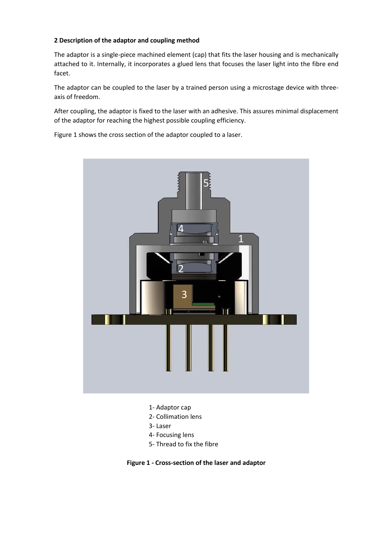# **2 Description of the adaptor and coupling method**

The adaptor is a single-piece machined element (cap) that fits the laser housing and is mechanically attached to it. Internally, it incorporates a glued lens that focuses the laser light into the fibre end facet.

The adaptor can be coupled to the laser by a trained person using a microstage device with threeaxis of freedom.

After coupling, the adaptor is fixed to the laser with an adhesive. This assures minimal displacement of the adaptor for reaching the highest possible coupling efficiency.

Figure 1 shows the cross section of the adaptor coupled to a laser.



- 1- Adaptor cap
- 2- Collimation lens
- 3- Laser
- 4- Focusing lens
- 5- Thread to fix the fibre

**Figure 1 - Cross-section of the laser and adaptor**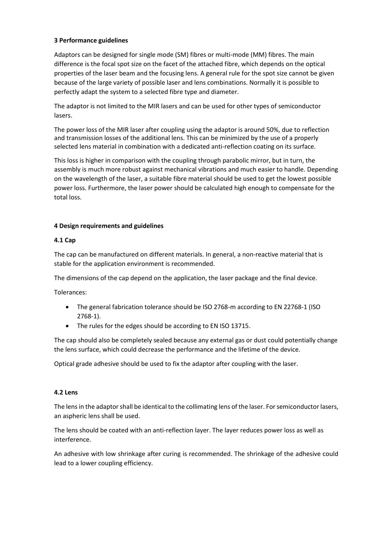# **3 Performance guidelines**

Adaptors can be designed for single mode (SM) fibres or multi-mode (MM) fibres. The main difference is the focal spot size on the facet of the attached fibre, which depends on the optical properties of the laser beam and the focusing lens. A general rule for the spot size cannot be given because of the large variety of possible laser and lens combinations. Normally it is possible to perfectly adapt the system to a selected fibre type and diameter.

The adaptor is not limited to the MIR lasers and can be used for other types of semiconductor lasers.

The power loss of the MIR laser after coupling using the adaptor is around 50%, due to reflection and transmission losses of the additional lens. This can be minimized by the use of a properly selected lens material in combination with a dedicated anti-reflection coating on its surface.

This loss is higher in comparison with the coupling through parabolic mirror, but in turn, the assembly is much more robust against mechanical vibrations and much easier to handle. Depending on the wavelength of the laser, a suitable fibre material should be used to get the lowest possible power loss. Furthermore, the laser power should be calculated high enough to compensate for the total loss.

### **4 Design requirements and guidelines**

### **4.1 Cap**

The cap can be manufactured on different materials. In general, a non-reactive material that is stable for the application environment is recommended.

The dimensions of the cap depend on the application, the laser package and the final device.

Tolerances:

- The general fabrication tolerance should be ISO 2768-m according to EN 22768-1 (ISO 2768-1).
- The rules for the edges should be according to EN ISO 13715.

The cap should also be completely sealed because any external gas or dust could potentially change the lens surface, which could decrease the performance and the lifetime of the device.

Optical grade adhesive should be used to fix the adaptor after coupling with the laser.

#### **4.2 Lens**

The lens in the adaptor shall be identical to the collimating lens of the laser. For semiconductor lasers, an aspheric lens shall be used.

The lens should be coated with an anti-reflection layer. The layer reduces power loss as well as interference.

An adhesive with low shrinkage after curing is recommended. The shrinkage of the adhesive could lead to a lower coupling efficiency.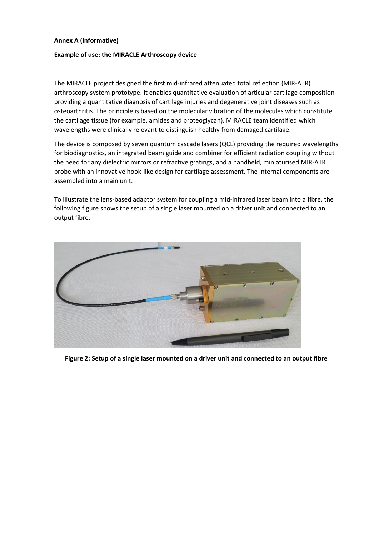#### **Annex A (Informative)**

#### **Example of use: the MIRACLE Arthroscopy device**

The MIRACLE project designed the first mid-infrared attenuated total reflection (MIR-ATR) arthroscopy system prototype. It enables quantitative evaluation of articular cartilage composition providing a quantitative diagnosis of cartilage injuries and degenerative joint diseases such as osteoarthritis. The principle is based on the molecular vibration of the molecules which constitute the cartilage tissue (for example, amides and proteoglycan). MIRACLE team identified which wavelengths were clinically relevant to distinguish healthy from damaged cartilage.

The device is composed by seven quantum cascade lasers (QCL) providing the required wavelengths for biodiagnostics, an integrated beam guide and combiner for efficient radiation coupling without the need for any dielectric mirrors or refractive gratings, and a handheld, miniaturised MIR-ATR probe with an innovative hook-like design for cartilage assessment. The internal components are assembled into a main unit.

To illustrate the lens-based adaptor system for coupling a mid-infrared laser beam into a fibre, the following figure shows the setup of a single laser mounted on a driver unit and connected to an output fibre.



**Figure 2: Setup of a single laser mounted on a driver unit and connected to an output fibre**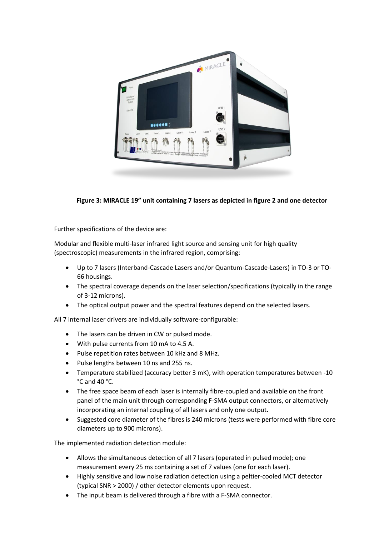

# **Figure 3: MIRACLE 19" unit containing 7 lasers as depicted in figure 2 and one detector**

Further specifications of the device are:

Modular and flexible multi-laser infrared light source and sensing unit for high quality (spectroscopic) measurements in the infrared region, comprising:

- Up to 7 lasers (Interband-Cascade Lasers and/or Quantum-Cascade-Lasers) in TO-3 or TO-66 housings.
- The spectral coverage depends on the laser selection/specifications (typically in the range of 3-12 microns).
- The optical output power and the spectral features depend on the selected lasers.

All 7 internal laser drivers are individually software-configurable:

- The lasers can be driven in CW or pulsed mode.
- With pulse currents from 10 mA to 4.5 A.
- Pulse repetition rates between 10 kHz and 8 MHz.
- Pulse lengths between 10 ns and 255 ns.
- Temperature stabilized (accuracy better 3 mK), with operation temperatures between -10 °C and 40 °C.
- The free space beam of each laser is internally fibre-coupled and available on the front panel of the main unit through corresponding F-SMA output connectors, or alternatively incorporating an internal coupling of all lasers and only one output.
- Suggested core diameter of the fibres is 240 microns (tests were performed with fibre core diameters up to 900 microns).

The implemented radiation detection module:

- Allows the simultaneous detection of all 7 lasers (operated in pulsed mode); one measurement every 25 ms containing a set of 7 values (one for each laser).
- Highly sensitive and low noise radiation detection using a peltier-cooled MCT detector (typical SNR > 2000) / other detector elements upon request.
- The input beam is delivered through a fibre with a F-SMA connector.